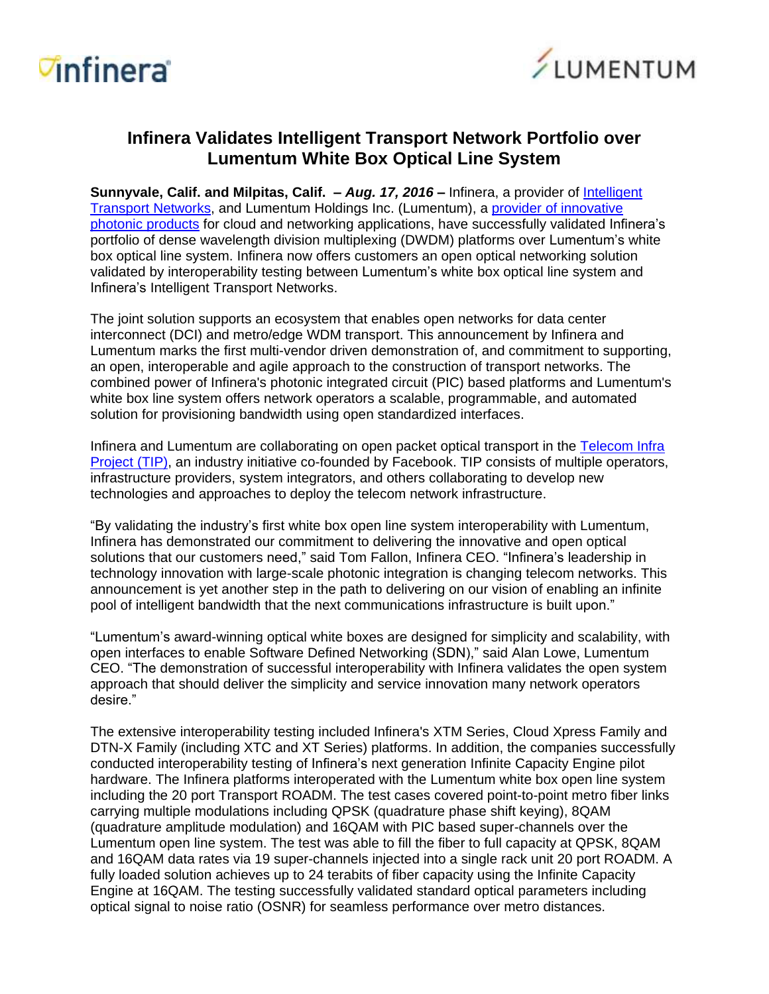



## **Infinera Validates Intelligent Transport Network Portfolio over Lumentum White Box Optical Line System**

**Sunnyvale, Calif. and Milpitas, Calif. - Aug. 17, 2016 - Infinera, a provider of** *Intelligent* [Transport Networks,](http://www.infinera.com/technology/intelligent-transport-network/) and Lumentum Holdings Inc. (Lumentum), a provider of [innovative](https://www.lumentum.com/en/optical-communications/products) photonic [products](https://www.lumentum.com/en/optical-communications/products) for cloud and networking applications, have successfully validated Infinera's portfolio of dense wavelength division multiplexing (DWDM) platforms over Lumentum's white box optical line system. Infinera now offers customers an open optical networking solution validated by interoperability testing between Lumentum's white box optical line system and Infinera's Intelligent Transport Networks.

The joint solution supports an ecosystem that enables open networks for data center interconnect (DCI) and metro/edge WDM transport. This announcement by Infinera and Lumentum marks the first multi-vendor driven demonstration of, and commitment to supporting, an open, interoperable and agile approach to the construction of transport networks. The combined power of Infinera's photonic integrated circuit (PIC) based platforms and Lumentum's white box line system offers network operators a scalable, programmable, and automated solution for provisioning bandwidth using open standardized interfaces.

Infinera and Lumentum are collaborating on open packet optical transport in the [Telecom](https://telecominfraproject.com/) Infra [Project](https://telecominfraproject.com/) (TIP), an industry initiative co-founded by Facebook. TIP consists of multiple operators, infrastructure providers, system integrators, and others collaborating to develop new technologies and approaches to deploy the telecom network infrastructure.

"By validating the industry's first white box open line system interoperability with Lumentum, Infinera has demonstrated our commitment to delivering the innovative and open optical solutions that our customers need," said Tom Fallon, Infinera CEO. "Infinera's leadership in technology innovation with large-scale photonic integration is changing telecom networks. This announcement is yet another step in the path to delivering on our vision of enabling an infinite pool of intelligent bandwidth that the next communications infrastructure is built upon."

"Lumentum's award-winning optical white boxes are designed for simplicity and scalability, with open interfaces to enable Software Defined Networking (SDN)," said Alan Lowe, Lumentum CEO. "The demonstration of successful interoperability with Infinera validates the open system approach that should deliver the simplicity and service innovation many network operators desire."

The extensive interoperability testing included Infinera's XTM Series, Cloud Xpress Family and DTN-X Family (including XTC and XT Series) platforms. In addition, the companies successfully conducted interoperability testing of Infinera's next generation Infinite Capacity Engine pilot hardware. The Infinera platforms interoperated with the Lumentum white box open line system including the 20 port Transport ROADM. The test cases covered point-to-point metro fiber links carrying multiple modulations including QPSK (quadrature phase shift keying), 8QAM (quadrature amplitude modulation) and 16QAM with PIC based super-channels over the Lumentum open line system. The test was able to fill the fiber to full capacity at QPSK, 8QAM and 16QAM data rates via 19 super-channels injected into a single rack unit 20 port ROADM. A fully loaded solution achieves up to 24 terabits of fiber capacity using the Infinite Capacity Engine at 16QAM. The testing successfully validated standard optical parameters including optical signal to noise ratio (OSNR) for seamless performance over metro distances.